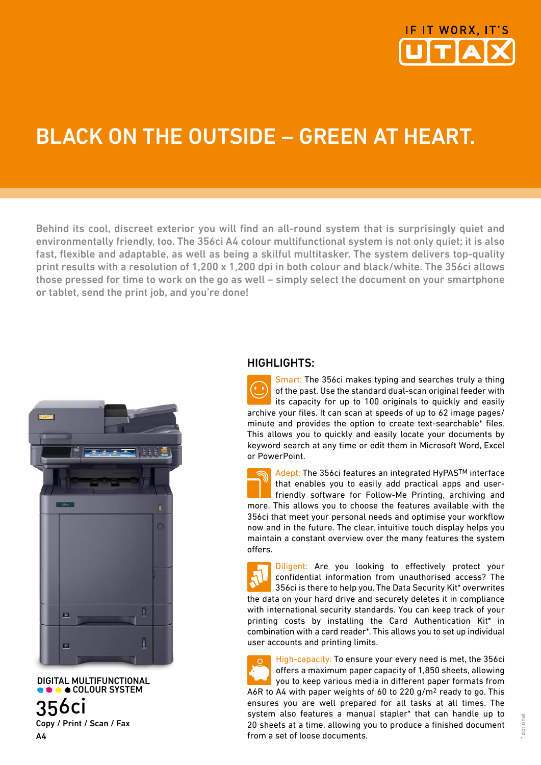

# BLACK ON THE OUTSIDE – GREEN AT HEART.

Behind its cool, discreet exterior you will find an all-round system that is surprisingly quiet and environmentally friendly, too. The 356ci A4 colour multifunctional system is not only quiet; it is also fast, flexible and adaptable, as well as being a skilful multitasker. The system delivers top-quality print results with a resolution of 1,200 x 1,200 dpi in both colour and black/white. The 356ci allows those pressed for time to work on the go as well – simply select the document on your smartphone or tablet, send the print job, and you're done!



 DIGITAL MULTIFUNCTIONAL **COLOUR SYSTEM** 356ci Copy / Print / Scan / Fax A4

### HIGHLIGHTS:

Smart: The 356ci makes typing and searches truly a thing of the past. Use the standard dual-scan original feeder with its capacity for up to 100 originals to quickly and easily archive your files. It can scan at speeds of up to 62 image pages/ minute and provides the option to create text-searchable\* files. This allows you to quickly and easily locate your documents by keyword search at any time or edit them in Microsoft Word, Excel or PowerPoint.

Adept: The 356ci features an integrated HyPASTM interface that enables you to easily add practical apps and userfriendly software for Follow-Me Printing, archiving and more. This allows you to choose the features available with the 356ci that meet your personal needs and optimise your workflow now and in the future. The clear, intuitive touch display helps you maintain a constant overview over the many features the system offers.

Diligent: Are you looking to effectively protect your confidential information from unauthorised access? The 356ci is there to help you. The Data Security Kit\* overwrites the data on your hard drive and securely deletes it in compliance with international security standards. You can keep track of your printing costs by installing the Card Authentication Kit\* in combination with a card reader\*. This allows you to set up individual user accounts and printing limits.

High-capacity: To ensure your every need is met, the 356ci offers a maximum paper capacity of 1,850 sheets, allowing you to keep various media in different paper formats from A6R to A4 with paper weights of 60 to 220 g/m2 ready to go. This ensures you are well prepared for all tasks at all times. The system also features a manual stapler\* that can handle up to 20 sheets at a time, allowing you to produce a finished document from a set of loose documents.